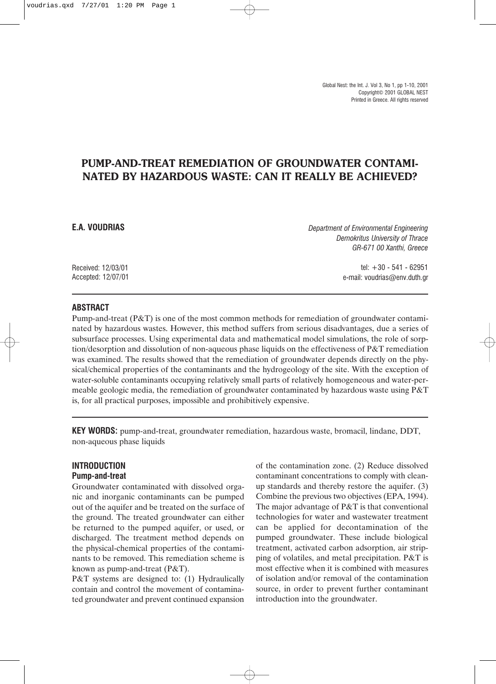Global Nest: the Int. J. Vol 3, No 1, pp 1-10, 2001 Copyright© 2001 GLOBAL NEST Printed in Greece. All rights reserved

# PUMP-AND-TREAT REMEDIATION OF GROUNDWATER CONTAMI-NATED BY HAZARDOUS WASTE: CAN IT REALLY BE ACHIEVED?

## E.A. VOUDRIAS

Received: 12/03/01 Accepted: 12/07/01 Department of Environmental Engineering Demokritus University of Thrace GR-671 00 Xanthi, Greece

> tel: +30 - 541 - 62951 e-mail: voudrias@env.duth.gr

#### ABSTRACT

Pump-and-treat (P&T) is one of the most common methods for remediation of groundwater contaminated by hazardous wastes. However, this method suffers from serious disadvantages, due a series of subsurface processes. Using experimental data and mathematical model simulations, the role of sorption/desorption and dissolution of non-aqueous phase liquids on the effectiveness of P&T remediation was examined. The results showed that the remediation of groundwater depends directly on the physical/chemical properties of the contaminants and the hydrogeology of the site. With the exception of water-soluble contaminants occupying relatively small parts of relatively homogeneous and water-permeable geologic media, the remediation of groundwater contaminated by hazardous waste using P&T is, for all practical purposes, impossible and prohibitively expensive.

KEY WORDS: pump-and-treat, groundwater remediation, hazardous waste, bromacil, lindane, DDT, non-aqueous phase liquids

## INTRODUCTION Pump-and-treat

Groundwater contaminated with dissolved organic and inorganic contaminants can be pumped out of the aquifer and be treated on the surface of the ground. The treated groundwater can either be returned to the pumped aquifer, or used, or discharged. The treatment method depends on the physical-chemical properties of the contaminants to be removed. This remediation scheme is known as pump-and-treat (P&T).

P&T systems are designed to: (1) Hydraulically contain and control the movement of contaminated groundwater and prevent continued expansion

of the contamination zone. (2) Reduce dissolved contaminant concentrations to comply with cleanup standards and thereby restore the aquifer. (3) Combine the previous two objectives (EPA, 1994). The major advantage of P&T is that conventional technologies for water and wastewater treatment can be applied for decontamination of the pumped groundwater. These include biological treatment, activated carbon adsorption, air stripping of volatiles, and metal precipitation. P&T is most effective when it is combined with measures of isolation and/or removal of the contamination source, in order to prevent further contaminant introduction into the groundwater.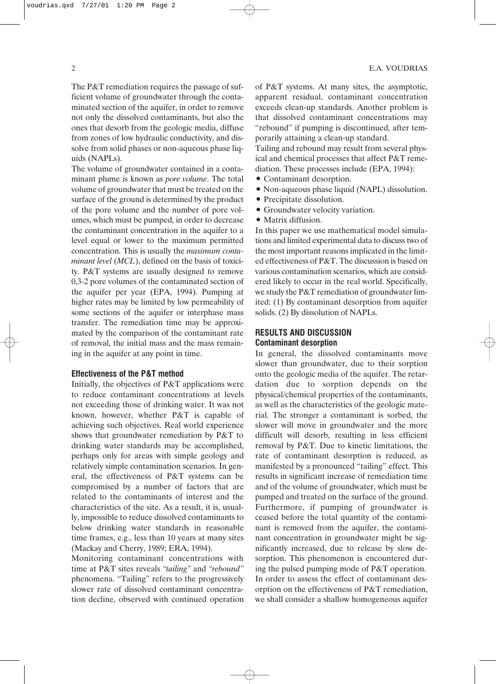The P&T remediation requires the passage of sufficient volume of groundwater through the contaminated section of the aquifer, in order to remove not only the dissolved contaminants, but also the ones that desorb from the geologic media, diffuse from zones of low hydraulic conductivity, and dissolve from solid phases or non-aqueous phase liquids (NAPLs).

The volume of groundwater contained in a contaminant plume is known as pore volume. The total volume of groundwater that must be treated on the surface of the ground is determined by the product of the pore volume and the number of pore volumes, which must be pumped, in order to decrease the contaminant concentration in the aquifer to a level equal or lower to the maximum permitted concentration. This is usually the maximum contaminant level (MCL), defined on the basis of toxicity. P&T systems are usually designed to remove 0,3-2 pore volumes of the contaminated section of the aquifer per year (EPA, 1994). Pumping at higher rates may be limited by low permeability of some sections of the aquifer or interphase mass transfer. The remediation time may be approximated by the comparison of the contaminant rate of removal, the initial mass and the mass remaining in the aquifer at any point in time.

#### Effectiveness of the P&T method

Initially, the objectives of P&T applications were to reduce contaminant concentrations at levels not exceeding those of drinking water. It was not known, however, whether P&T is capable of achieving such objectives. Real world experience shows that groundwater remediation by P&T to drinking water standards may be accomplished, perhaps only for areas with simple geology and relatively simple contamination scenarios. In general, the effectiveness of P&T systems can be compromised by a number of factors that are related to the contaminants of interest and the characteristics of the site. As a result, it is, usually, impossible to reduce dissolved contaminants to below drinking water standards in reasonable time frames, e.g., less than 10 years at many sites (Mackay and Cherry, 1989; ERA, 1994).

Monitoring contaminant concentrations with time at P&T sites reveals "tailing" and "rebound" phenomena. "Tailing" refers to the progressively slower rate of dissolved contaminant concentration decline, observed with continued operation of P&T systems. At many sites, the asymptotic, apparent residual, contaminant concentration exceeds clean-up standards. Another problem is that dissolved contaminant concentrations may "rebound" if pumping is discontinued, after temporarily attaining a clean-up standard.

Tailing and rebound may result from several physical and chemical processes that affect P&T remediation. These processes include (EPA, 1994):

- Contaminant desorption.
- Non-aqueous phase liquid (NAPL) dissolution.
- Precipitate dissolution.
- Groundwater velocity variation.
- Matrix diffusion.

In this paper we use mathematical model simulations and limited experimental data to discuss two of the most important reasons implicated in the limited effectiveness of P&T. The discussion is based on various contamination scenarios, which are considered likely to occur in the real world. Specifically, we study the P&T remediation of groundwater limited: (1) By contaminant desorption from aquifer solids. (2) By dissolution of NAPLs.

## RESULTS AND DISCUSSION Contaminant desorption

In general, the dissolved contaminants move slower than groundwater, due to their sorption onto the geologic media of the aquifer. The retardation due to sorption depends on the physical/chemical properties of the contaminants, as well as the characteristics of the geologic material. The stronger a contaminant is sorbed, the slower will move in groundwater and the more difficult will desorb, resulting in less efficient removal by P&T. Due to kinetic limitations, the rate of contaminant desorption is reduced, as manifested by a pronounced "tailing" effect. This results in significant increase of remediation time and of the volume of groundwater, which must be pumped and treated on the surface of the ground. Furthermore, if pumping of groundwater is ceased before the total quantity of the contaminant is removed from the aquifer, the contaminant concentration in groundwater might be significantly increased, due to release by slow desorption. This phenomenon is encountered during the pulsed pumping mode of P&T operation. In order to assess the effect of contaminant desorption on the effectiveness of P&T remediation, we shall consider a shallow homogeneous aquifer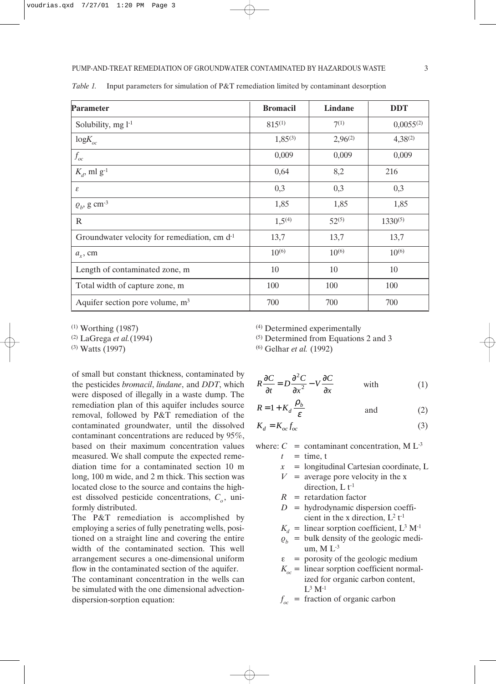| Parameter                                      | <b>Bromacil</b>    | Lindane      | <b>DDT</b>     |
|------------------------------------------------|--------------------|--------------|----------------|
| Solubility, $mg l^{-1}$                        | $815^{(1)}$        | $7^{(1)}$    | $0,0055^{(2)}$ |
| $logK_{oc}$                                    | $1,85^{(3)}$       | $2,96^{(2)}$ | $4,38^{(2)}$   |
| $f_{oc}$                                       | 0,009              | 0,009        | 0,009          |
| $K_d$ , ml g <sup>-1</sup>                     | 0,64               | 8,2          | 216            |
| ε                                              | 0,3                | 0,3          | 0,3            |
| $Q_b$ , g cm <sup>-3</sup>                     | 1,85               | 1,85         | 1,85           |
| $\mathbb{R}$                                   | 1,5 <sup>(4)</sup> | $52^{(5)}$   | $1330^{(5)}$   |
| Groundwater velocity for remediation, cm $d-1$ | 13,7               | 13,7         | 13,7           |
| $a_r$ , cm                                     | $10^{(6)}$         | $10^{(6)}$   | $10^{(6)}$     |
| Length of contaminated zone, m                 | 10                 | 10           | 10             |
| Total width of capture zone, m                 | 100                | 100          | 100            |
| Aquifer section pore volume, $m3$              | 700                | 700          | 700            |

Table 1. Input parameters for simulation of P&T remediation limited by contaminant desorption

(1) Worthing (1987)

 $(2)$  LaGrega *et al.*(1994)

(3) Watts (1997)

of small but constant thickness, contaminated by the pesticides bromacil, lindane, and DDT, which were disposed of illegally in a waste dump. The remediation plan of this aquifer includes source removal, followed by P&T remediation of the contaminated groundwater, until the dissolved contaminant concentrations are reduced by 95%, based on their maximum concentration values measured. We shall compute the expected remediation time for a contaminated section 10 m long, 100 m wide, and 2 m thick. This section was located close to the source and contains the highest dissolved pesticide concentrations,  $C<sub>o</sub>$ , uniformly distributed.

The P&T remediation is accomplished by employing a series of fully penetrating wells, positioned on a straight line and covering the entire width of the contaminated section. This well arrangement secures a one-dimensional uniform flow in the contaminated section of the aquifer.

The contaminant concentration in the wells can be simulated with the one dimensional advectiondispersion-sorption equation:

(4) Determined experimentally

(5) Determined from Equations 2 and 3

(6) Gelhar et al. (1992)

$$
R\frac{\partial C}{\partial t} = D\frac{\partial^2 C}{\partial x^2} - V\frac{\partial C}{\partial x} \qquad \text{with} \qquad (1)
$$

$$
R = 1 + K_d \frac{\rho_b}{\varepsilon} \qquad \text{and} \qquad (2)
$$

$$
K_d = K_{oc} f_{oc} \tag{3}
$$

where:  $C =$  contaminant concentration, M  $L^{-3}$ 

- $t =$  time, t
- $x =$  longitudinal Cartesian coordinate, L
- $V =$  average pore velocity in the x direction,  $L t^{-1}$
- $R$  = retardation factor
- $D =$  hydrodynamic dispersion coefficient in the x direction,  $L^2 t^{-1}$
- $K_d$  = linear sorption coefficient, L<sup>3</sup> M<sup>-1</sup>
- $\rho_h$  = bulk density of the geologic medium,  $M L<sup>-3</sup>$
- $\epsilon$  = porosity of the geologic medium
- $K_{\infty}$  = linear sorption coefficient normalized for organic carbon content,  $L^3 M^{-1}$
- $f_{oc}$  = fraction of organic carbon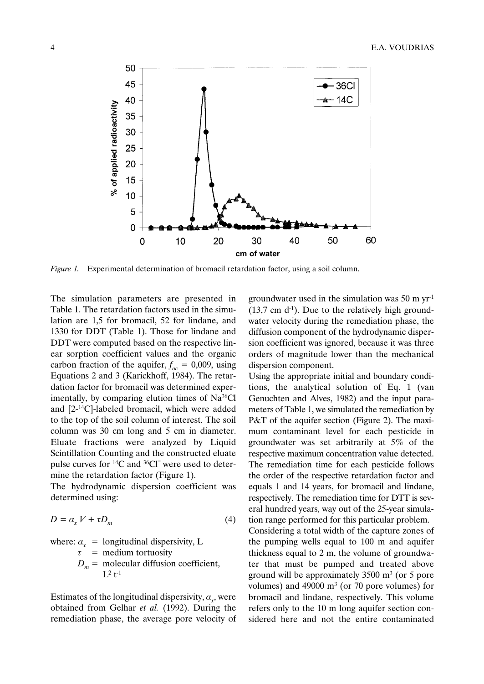

Figure 1. Experimental determination of bromacil retardation factor, using a soil column.

The simulation parameters are presented in Table 1. The retardation factors used in the simulation are 1,5 for bromacil, 52 for lindane, and 1330 for DDT (Table 1). Those for lindane and DDT were computed based on the respective linear sorption coefficient values and the organic carbon fraction of the aquifer,  $f_{oc} = 0.009$ , using Equations 2 and 3 (Karickhoff, 1984). The retardation factor for bromacil was determined experimentally, by comparing elution times of Na36Cl and [2-14C]-labeled bromacil, which were added to the top of the soil column of interest. The soil column was 30 cm long and 5 cm in diameter. Eluate fractions were analyzed by Liquid Scintillation Counting and the constructed eluate pulse curves for  $^{14}C$  and  $^{36}Cl^-$  were used to determine the retardation factor (Figure 1).

The hydrodynamic dispersion coefficient was determined using:

$$
D = a_x V + \tau D_m \tag{4}
$$

where:  $a_x$  = longitudinal dispersivity, L  $\tau$  = medium tortuosity  $D_m$  = molecular diffusion coefficient,  $L^2$  t<sup>-1</sup>

Estimates of the longitudinal dispersivity,  $a_x$ , were obtained from Gelhar et al. (1992). During the remediation phase, the average pore velocity of groundwater used in the simulation was 50 m  $\text{yr}^1$  $(13,7 \text{ cm } d^{-1})$ . Due to the relatively high groundwater velocity during the remediation phase, the diffusion component of the hydrodynamic dispersion coefficient was ignored, because it was three orders of magnitude lower than the mechanical dispersion component.

Using the appropriate initial and boundary conditions, the analytical solution of Eq. 1 (van Genuchten and Alves, 1982) and the input parameters of Table 1, we simulated the remediation by P&T of the aquifer section (Figure 2). The maximum contaminant level for each pesticide in groundwater was set arbitrarily at 5% of the respective maximum concentration value detected. The remediation time for each pesticide follows the order of the respective retardation factor and equals 1 and 14 years, for bromacil and lindane, respectively. The remediation time for DTT is several hundred years, way out of the 25-year simulation range performed for this particular problem.

Considering a total width of the capture zones of the pumping wells equal to 100 m and aquifer thickness equal to 2 m, the volume of groundwater that must be pumped and treated above ground will be approximately  $3500 \text{ m}^3$  (or 5 pore volumes) and 49000  $\text{m}^3$  (or 70 pore volumes) for bromacil and lindane, respectively. This volume refers only to the 10 m long aquifer section considered here and not the entire contaminated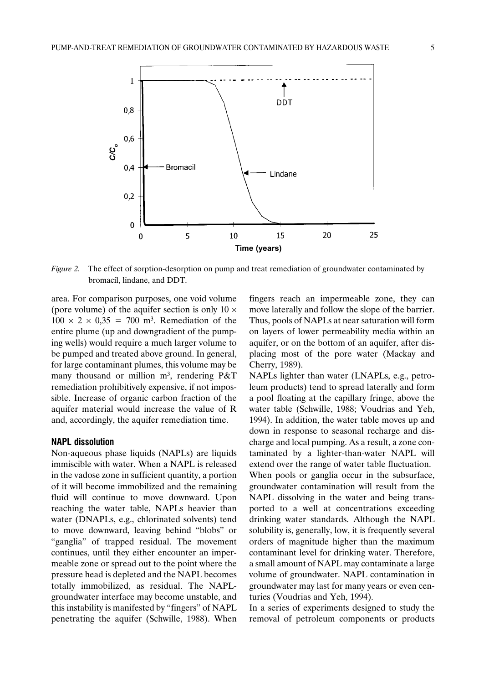

Figure 2. The effect of sorption-desorption on pump and treat remediation of groundwater contaminated by bromacil, lindane, and DDT.

area. For comparison purposes, one void volume (pore volume) of the aquifer section is only  $10 \times$  $100 \times 2 \times 0.35 = 700$  m<sup>3</sup>. Remediation of the entire plume (up and downgradient of the pumping wells) would require a much larger volume to be pumped and treated above ground. In general, for large contaminant plumes, this volume may be many thousand or million  $m^3$ , rendering P&T remediation prohibitively expensive, if not impossible. Increase of organic carbon fraction of the aquifer material would increase the value of R and, accordingly, the aquifer remediation time.

#### NAPL dissolution

Non-aqueous phase liquids (NAPLs) are liquids immiscible with water. When a NAPL is released in the vadose zone in sufficient quantity, a portion of it will become immobilized and the remaining fluid will continue to move downward. Upon reaching the water table, NAPLs heavier than water (DNAPLs, e.g., chlorinated solvents) tend to move downward, leaving behind "blobs" or "ganglia" of trapped residual. The movement continues, until they either encounter an impermeable zone or spread out to the point where the pressure head is depleted and the NAPL becomes totally immobilized, as residual. The NAPLgroundwater interface may become unstable, and this instability is manifested by "fingers" of NAPL penetrating the aquifer (Schwille, 1988). When

fingers reach an impermeable zone, they can move laterally and follow the slope of the barrier. Thus, pools of NAPLs at near saturation will form on layers of lower permeability media within an aquifer, or on the bottom of an aquifer, after displacing most of the pore water (Mackay and Cherry, 1989).

NAPLs lighter than water (LNAPLs, e.g., petroleum products) tend to spread laterally and form a pool floating at the capillary fringe, above the water table (Schwille, 1988; Voudrias and Yeh, 1994). In addition, the water table moves up and down in response to seasonal recharge and discharge and local pumping. As a result, a zone contaminated by a lighter-than-water NAPL will extend over the range of water table fluctuation. When pools or ganglia occur in the subsurface,

groundwater contamination will result from the NAPL dissolving in the water and being transported to a well at concentrations exceeding drinking water standards. Although the NAPL solubility is, generally, low, it is frequently several orders of magnitude higher than the maximum contaminant level for drinking water. Therefore, a small amount of NAPL may contaminate a large volume of groundwater. NAPL contamination in groundwater may last for many years or even centuries (Voudrias and Yeh, 1994).

In a series of experiments designed to study the removal of petroleum components or products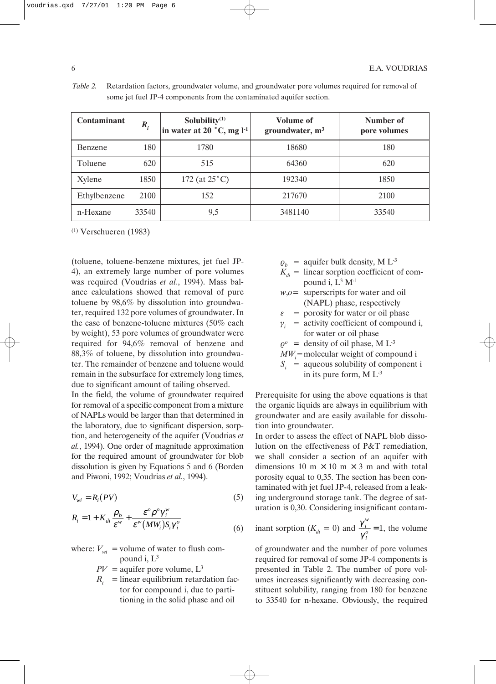| <b>Contaminant</b> | $R_i$ | Solubility $(1)$<br>in water at 20 $^{\circ}$ C, mg l <sup>-1</sup> | Volume of<br>groundwater, $m3$ | Number of<br>pore volumes |
|--------------------|-------|---------------------------------------------------------------------|--------------------------------|---------------------------|
| Benzene            | 180   | 1780                                                                | 18680                          | 180                       |
| Toluene            | 620   | 515                                                                 | 64360                          | 620                       |
| Xylene             | 1850  | 172 (at $25^{\circ}$ C)                                             | 192340                         | 1850                      |
| Ethylbenzene       | 2100  | 152                                                                 | 217670                         | 2100                      |
| n-Hexane           | 33540 | 9,5                                                                 | 3481140                        | 33540                     |

Table 2. Retardation factors, groundwater volume, and groundwater pore volumes required for removal of some jet fuel JP-4 components from the contaminated aquifer section.

(1) Verschueren (1983)

(toluene, toluene-benzene mixtures, jet fuel JP-4), an extremely large number of pore volumes was required (Voudrias et al., 1994). Mass balance calculations showed that removal of pure toluene by 98,6% by dissolution into groundwater, required 132 pore volumes of groundwater. In the case of benzene-toluene mixtures (50% each by weight), 53 pore volumes of groundwater were required for 94,6% removal of benzene and 88,3% of toluene, by dissolution into groundwater. The remainder of benzene and toluene would remain in the subsurface for extremely long times, due to significant amount of tailing observed.

In the field, the volume of groundwater required for removal of a specific component from a mixture of NAPLs would be larger than that determined in the laboratory, due to significant dispersion, sorption, and heterogeneity of the aquifer (Voudrias et al., 1994). One order of magnitude approximation for the required amount of groundwater for blob dissolution is given by Equations 5 and 6 (Borden and Piwoni, 1992; Voudrias et al., 1994).

$$
V_{wi} = R_i(PV) \tag{5}
$$

$$
R_i = 1 + K_{di} \frac{\rho_b}{\varepsilon^w} + \frac{\varepsilon^o \rho^o \gamma_i^w}{\varepsilon^w (MW_i) S_i \gamma_i^o}
$$
 (6)

where: 
$$
V_{wi}
$$
 = volume of water to flush com-  
pound i, L<sup>3</sup>

- $PV =$  aquifer pore volume,  $L^3$
- $R_i$  = linear equilibrium retardation factor for compound i, due to partitioning in the solid phase and oil
- $\varrho_h$  = aquifer bulk density, M L<sup>-3</sup>
- $K_{di}$  = linear sorption coefficient of compound i,  $L^3$  M<sup>-1</sup>
- $w,o=$  superscripts for water and oil (NAPL) phase, respectively
- $\epsilon$  = porosity for water or oil phase
- $\gamma_i$  = activity coefficient of compound i, for water or oil phase
- $\rho^{\circ}$  = density of oil phase, M L<sup>-3</sup>
- $MW_i$ =molecular weight of compound i
- $S_i$  = aqueous solubility of component i in its pure form,  $M L^{-3}$

Prerequisite for using the above equations is that the organic liquids are always in equilibrium with groundwater and are easily available for dissolution into groundwater.

In order to assess the effect of NAPL blob dissolution on the effectiveness of P&T remediation, we shall consider a section of an aquifer with dimensions 10 m  $\times$  10 m  $\times$  3 m and with total porosity equal to 0,35. The section has been contaminated with jet fuel JP-4, released from a leaking underground storage tank. The degree of saturation is 0,30. Considering insignificant contam-

inant sorption (
$$
K_{di} = 0
$$
) and  $\frac{\gamma_i^w}{\gamma_i^o} = 1$ , the volume

of groundwater and the number of pore volumes required for removal of some JP-4 components is presented in Table 2. The number of pore volumes increases significantly with decreasing constituent solubility, ranging from 180 for benzene to 33540 for n-hexane. Obviously, the required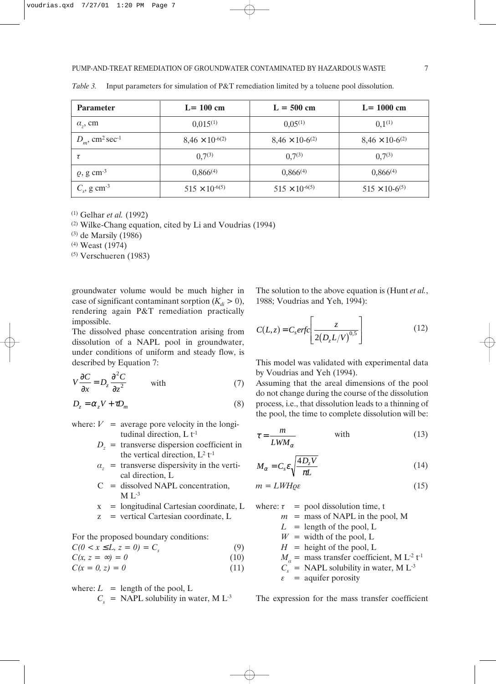| <b>Parameter</b>                          | $L = 100$ cm             | $L = 500$ cm                         | $L = 1000$ cm                        |
|-------------------------------------------|--------------------------|--------------------------------------|--------------------------------------|
| $a_z$ , cm                                | $0.015^{(1)}$            | $0.05^{(1)}$                         | $0,1^{(1)}$                          |
| $D_m$ , cm <sup>2</sup> sec <sup>-1</sup> | $8,46 \times 10^{-6(2)}$ | $8,46 \times 10^{-6}$ <sup>(2)</sup> | $8,46 \times 10^{-6}$ <sup>(2)</sup> |
| τ                                         | $0,7^{(3)}$              | $0,7^{(3)}$                          | $0.7^{(3)}$                          |
| $\varrho$ , g cm <sup>-3</sup>            | $0,866^{(4)}$            | $0,866^{(4)}$                        | $0,866^{(4)}$                        |
| $C_s$ , g cm <sup>-3</sup>                | $515 \times 10^{-6(5)}$  | $515 \times 10^{-6(5)}$              | $515 \times 10^{-6(5)}$              |

Table 3. Input parameters for simulation of P&T remediation limited by a toluene pool dissolution.

 $(1)$  Gelhar *et al.* (1992)

(2) Wilke-Chang equation, cited by Li and Voudrias (1994)

(3) de Marsily (1986)

(4) Weast (1974)

(5) Verschueren (1983)

groundwater volume would be much higher in case of significant contaminant sorption  $(K_d > 0)$ , rendering again P&T remediation practically impossible.

The dissolved phase concentration arising from dissolution of a NAPL pool in groundwater, under conditions of uniform and steady flow, is described by Equation 7:

$$
V\frac{\partial C}{\partial x} = D_z \frac{\partial^2 C}{\partial z^2} \quad \text{with} \tag{7}
$$

$$
D_z = \alpha_z V + \tau D_m \tag{8}
$$

where:  $V =$  average pore velocity in the longitudinal direction,  $L t^{-1}$ 

- $D_z$  = transverse dispersion coefficient in the vertical direction,  $L^2 t^{-1}$
- $a<sub>z</sub>$  = transverse dispersivity in the vertical direction, L
- $C =$  dissolved NAPL concentration,  $M L^{-3}$
- $x =$  longitudinal Cartesian coordinate, L
- z = vertical Cartesian coordinate, L

For the proposed boundary conditions:

$$
C(0 < x \le L, z = 0) = C_s \tag{9}
$$

 $C(x, z = \infty) = 0$  (10)

$$
C(x = 0, z) = 0 \tag{11}
$$

where:  $L =$  length of the pool, L

$$
C_s = \text{NAPL solubility in water, M L}^{-3}
$$

The solution to the above equation is (Hunt *et al.*, 1988; Voudrias and Yeh, 1994):

$$
C(L, z) = C_s erfc\left[\frac{z}{2(D_z L/V)^{0.5}}\right]
$$
 (12)

This model was validated with experimental data by Voudrias and Yeh (1994).

Assuming that the areal dimensions of the pool do not change during the course of the dissolution process, i.e., that dissolution leads to a thinning of the pool, the time to complete dissolution will be:

$$
\tau = \frac{m}{L W M_{\alpha}} \quad \text{with} \tag{13}
$$

$$
M_{\alpha} = C_s \varepsilon \sqrt{\frac{4D_z V}{\pi L}}
$$
 (14)

$$
m = LWH\varrho\varepsilon\tag{15}
$$

where:  $\tau$  = pool dissolution time, t

$$
m =
$$
 mass of NAPL in the pool, M

- $L =$  length of the pool, L
- $W =$  width of the pool, L
- $H =$  height of the pool, L
- $M_a$  = mass transfer coefficient, M L<sup>-2</sup> t<sup>-1</sup>
- $C_s$  = NAPL solubility in water, M L<sup>-3</sup>

 $\epsilon$  = aquifer porosity

The expression for the mass transfer coefficient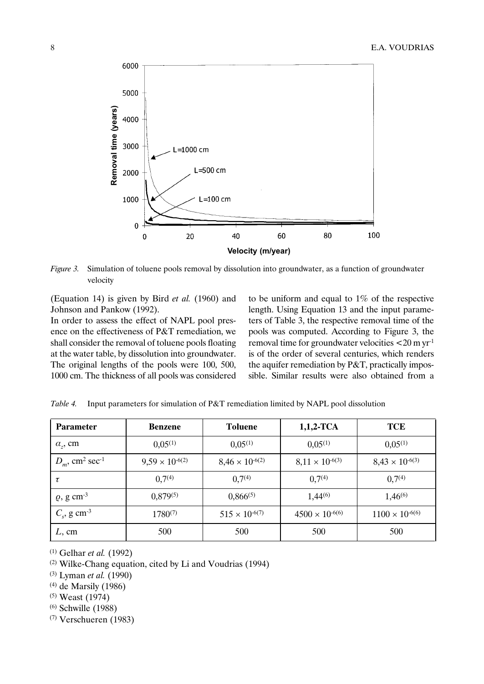

Figure 3. Simulation of toluene pools removal by dissolution into groundwater, as a function of groundwater velocity

(Equation 14) is given by Bird et al. (1960) and Johnson and Pankow (1992).

In order to assess the effect of NAPL pool presence on the effectiveness of P&T remediation, we shall consider the removal of toluene pools floating at the water table, by dissolution into groundwater. The original lengths of the pools were 100, 500, 1000 cm. The thickness of all pools was considered to be uniform and equal to 1% of the respective length. Using Equation 13 and the input parameters of Table 3, the respective removal time of the pools was computed. According to Figure 3, the removal time for groundwater velocities  $<$  20 m yr<sup>-1</sup> is of the order of several centuries, which renders the aquifer remediation by P&T, practically impossible. Similar results were also obtained from a

| <b>Parameter</b>                          | <b>Benzene</b>           | <b>Toluene</b>           | $1,1,2$ -TCA             | <b>TCE</b>               |
|-------------------------------------------|--------------------------|--------------------------|--------------------------|--------------------------|
| $a_{\nu}$ , cm                            | $0.05^{(1)}$             | $0.05^{(1)}$             | $0,05^{(1)}$             | $0,05^{(1)}$             |
| $D_m$ , cm <sup>2</sup> sec <sup>-1</sup> | $9,59 \times 10^{-6(2)}$ | $8,46 \times 10^{-6(2)}$ | $8,11 \times 10^{-6(3)}$ | $8,43 \times 10^{-6(3)}$ |
| τ                                         | 0.7 <sup>(4)</sup>       | 0.7 <sup>(4)</sup>       | 0.7 <sup>(4)</sup>       | 0.7 <sup>(4)</sup>       |
| $\varrho$ , g cm <sup>-3</sup>            | $0,879^{(5)}$            | $0,866^{(5)}$            | $1,44^{(6)}$             | $1,46^{(6)}$             |
| $C_s$ , g cm <sup>-3</sup>                | $1780^{(7)}$             | $515 \times 10^{-6(7)}$  | $4500 \times 10^{-6(6)}$ | $1100 \times 10^{-6(6)}$ |
| L, cm                                     | 500                      | 500                      | 500                      | 500                      |

Table 4. Input parameters for simulation of P&T remediation limited by NAPL pool dissolution

 $(1)$  Gelhar *et al.* (1992)

(2) Wilke-Chang equation, cited by Li and Voudrias (1994)

 $(3)$  Lyman *et al.* (1990)

(4) de Marsily (1986)

(5) Weast (1974)

(6) Schwille (1988)

(7) Verschueren (1983)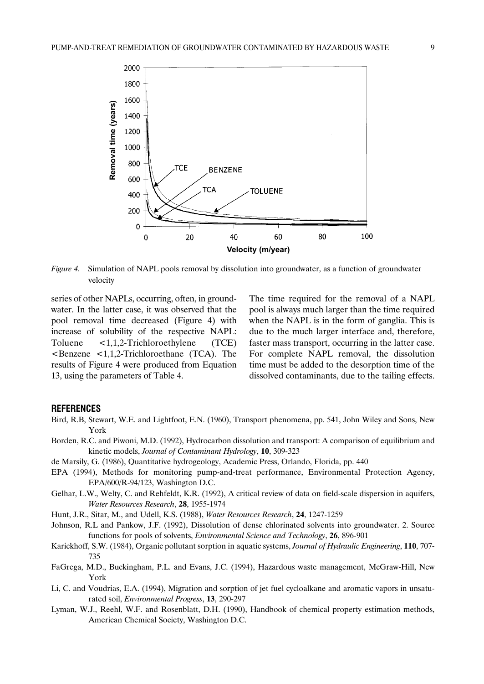

Figure 4. Simulation of NAPL pools removal by dissolution into groundwater, as a function of groundwater velocity

series of other NAPLs, occurring, often, in groundwater. In the latter case, it was observed that the pool removal time decreased (Figure 4) with increase of solubility of the respective NAPL: Toluene <1,1,2-Trichloroethylene (TCE)  $\epsilon$ Benzene  $\epsilon$ 1,1,2-Trichloroethane (TCA). The results of Figure 4 were produced from Equation 13, using the parameters of Table 4.

The time required for the removal of a NAPL pool is always much larger than the time required when the NAPL is in the form of ganglia. This is due to the much larger interface and, therefore, faster mass transport, occurring in the latter case. For complete NAPL removal, the dissolution time must be added to the desorption time of the dissolved contaminants, due to the tailing effects.

### **REFERENCES**

- Bird, R.B, Stewart, W.E. and Lightfoot, E.N. (1960), Transport phenomena, pp. 541, John Wiley and Sons, New York
- Borden, R.C. and Piwoni, M.D. (1992), Hydrocarbon dissolution and transport: A comparison of equilibrium and kinetic models, Journal of Contaminant Hydrology, 10, 309-323
- de Marsily, G. (1986), Quantitative hydrogeology, Academic Press, Orlando, Florida, pp. 440
- EPA (1994), Methods for monitoring pump-and-treat performance, Environmental Protection Agency, EPA/600/R-94/123, Washington D.C.
- Gelhar, L.W., Welty, C. and Rehfeldt, K.R. (1992), A critical review of data on field-scale dispersion in aquifers, Water Resources Research, 28, 1955-1974
- Hunt, J.R., Sitar, M., and Udell, K.S. (1988), Water Resources Research, 24, 1247-1259
- Johnson, R.L and Pankow, J.F. (1992), Dissolution of dense chlorinated solvents into groundwater. 2. Source functions for pools of solvents, Environmental Science and Technology, 26, 896-901
- Karickhoff, S.W. (1984), Organic pollutant sorption in aquatic systems, Journal of Hydraulic Engineering, 110, 707-735
- FaGrega, M.D., Buckingham, P.L. and Evans, J.C. (1994), Hazardous waste management, McGraw-Hill, New York
- Li, C. and Voudrias, E.A. (1994), Migration and sorption of jet fuel cycloalkane and aromatic vapors in unsaturated soil, Environmental Progress, 13, 290-297
- Lyman, W.J., Reehl, W.F. and Rosenblatt, D.H. (1990), Handbook of chemical property estimation methods, American Chemical Society, Washington D.C.